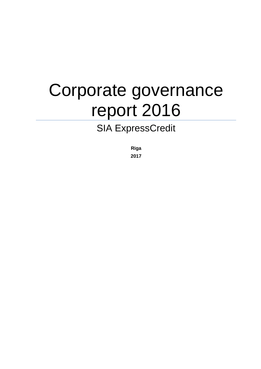# Corporate governance report 2016

# SIA ExpressCredit

**Riga 2017**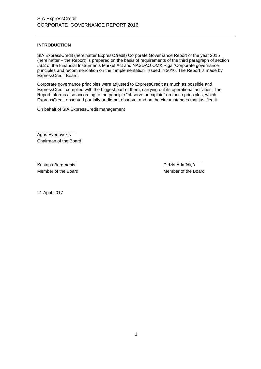# **INTRODUCTION**

SIA ExpressCredit (hereinafter ExpressCredit) Corporate Governance Report of the year 2015 (hereinafter – the Report) is prepared on the basis of requirements of the third paragraph of section 56.2 of the Financial Instruments Market Act and NASDAQ OMX Riga "Corporate governance principles and recommendation on their implementation" issued in 2010. The Report is made by ExpressCredit Board.

Corporate governance principles were adjusted to ExpressCredit as much as possible and ExpressCredit complied with the biggest part of them, carrying out its operational activities. The Report informs also according to the principle "observe or explain" on those principles, which ExpressCredit observed partially or did not observe, and on the circumstances that justified it.

\_\_\_\_\_\_\_\_\_\_\_\_\_\_\_\_ \_\_\_\_\_\_\_\_\_\_\_\_\_\_\_\_

On behalf of SIA ExpressCredit management

\_\_\_\_\_\_\_\_\_\_\_\_\_\_\_\_ Agris Evertovskis Chairman of the Board

Kristaps Bergmanis **Didzis Ādmīdiņš** Member of the Board Member of the Board Member of the Board

21 April 2017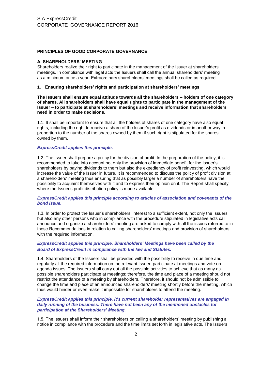# **PRINCIPLES OF GOOD CORPORATE GOVERNANCE**

#### **A. SHAREHOLDERS' MEETING**

Shareholders realize their right to participate in the management of the Issuer at shareholders' meetings. In compliance with legal acts the Issuers shall call the annual shareholders' meeting as a minimum once a year. Extraordinary shareholders' meetings shall be called as required.

#### **1. Ensuring shareholders' rights and participation at shareholders' meetings**

**The Issuers shall ensure equal attitude towards all the shareholders – holders of one category of shares. All shareholders shall have equal rights to participate in the management of the Issuer – to participate at shareholders' meetings and receive information that shareholders need in order to make decisions.**

1.1. It shall be important to ensure that all the holders of shares of one category have also equal rights, including the right to receive a share of the Issuer's profit as dividends or in another way in proportion to the number of the shares owned by them if such right is stipulated for the shares owned by them.

#### *ExpressCredit applies this principle.*

1.2. The Issuer shall prepare a policy for the division of profit. In the preparation of the policy, it is recommended to take into account not only the provision of immediate benefit for the Issuer's shareholders by paying dividends to them but also the expediency of profit reinvesting, which would increase the value of the Issuer in future. It is recommended to discuss the policy of profit division at a shareholders' meeting thus ensuring that as possibly larger a number of shareholders have the possibility to acquaint themselves with it and to express their opinion on it. The Report shall specify where the Issuer's profit distribution policy is made available.

#### *ExpressCredit applies this principle according to articles of association and covenants of the bond issue.*

1.3. In order to protect the Issuer's shareholders' interest to a sufficient extent, not only the Issuers but also any other persons who in compliance with the procedure stipulated in legislative acts call, announce and organize a shareholders' meeting are asked to comply with all the issues referred to in these Recommendations in relation to calling shareholders' meetings and provision of shareholders with the required information.

# *ExpressCredit applies this principle. Shareholders' Meetings have been called by the Board of ExpressCredit in compliance with the law and Statutes.*

1.4. Shareholders of the Issuers shall be provided with the possibility to receive in due time and regularly all the required information on the relevant Issuer, participate at meetings and vote on agenda issues. The Issuers shall carry out all the possible activities to achieve that as many as possible shareholders participate at meetings; therefore, the time and place of a meeting should not restrict the attendance of a meeting by shareholders. Therefore, it should not be admissible to change the time and place of an announced shareholders' meeting shortly before the meeting, which thus would hinder or even make it impossible for shareholders to attend the meeting.

#### *ExpressCredit applies this principle. It's current shareholder representatives are engaged in daily running of the business. There have not been any of the mentioned obstacles for participation at the Shareholders' Meeting.*

1.5. The Issuers shall inform their shareholders on calling a shareholders' meeting by publishing a notice in compliance with the procedure and the time limits set forth in legislative acts. The Issuers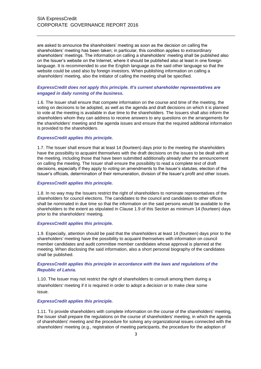are asked to announce the shareholders' meeting as soon as the decision on calling the shareholders' meeting has been taken; in particular, this condition applies to extraordinary shareholders' meetings. The information on calling a shareholders' meeting shall be published also on the Issuer's website on the Internet, where it should be published also at least in one foreign language. It is recommended to use the English language as the said other language so that the website could be used also by foreign investors. When publishing information on calling a shareholders' meeting, also the initiator of calling the meeting shall be specified.

# *ExpressCredit does not apply this principle. It's current shareholder representatives are engaged in daily running of the business.*

1.6. The Issuer shall ensure that compete information on the course and time of the meeting, the voting on decisions to be adopted, as well as the agenda and draft decisions on which it is planned to vote at the meeting is available in due time to the shareholders. The Issuers shall also inform the shareholders whom they can address to receive answers to any questions on the arrangements for the shareholders' meeting and the agenda issues and ensure that the required additional information is provided to the shareholders.

#### *ExpressCredit applies this principle.*

1.7. The Issuer shall ensure that at least 14 (fourteen) days prior to the meeting the shareholders have the possibility to acquaint themselves with the draft decisions on the issues to be dealt with at the meeting, including those that have been submitted additionally already after the announcement on calling the meeting. The Issuer shall ensure the possibility to read a complete text of draft decisions, especially if they apply to voting on amendments to the Issuer's statutes, election of the Issuer's officials, determination of their remuneration, division of the Issuer's profit and other issues.

### *ExpressCredit applies this principle.*

1.8. In no way may the Issuers restrict the right of shareholders to nominate representatives of the shareholders for council elections. The candidates to the council and candidates to other offices shall be nominated in due time so that the information on the said persons would be available to the shareholders to the extent as stipulated in Clause 1.9 of this Section as minimum 14 (fourteen) days prior to the shareholders' meeting.

#### *ExpressCredit applies this principle.*

1.9. Especially, attention should be paid that the shareholders at least 14 (fourteen) days prior to the shareholders' meeting have the possibility to acquaint themselves with information on council member candidates and audit committee member candidates whose approval is planned at the meeting. When disclosing the said information, also a short personal biography of the candidates shall be published.

# *ExpressCredit applies this principle in accordance with the laws and regulations of the Republic of Latvia.*

1.10. The Issuer may not restrict the right of shareholders to consult among them during a shareholders' meeting if it is required in order to adopt a decision or to make clear some issue.

#### *ExpressCredit applies this principle.*

1.11. To provide shareholders with complete information on the course of the shareholders' meeting, the Issuer shall prepare the regulations on the course of shareholders' meeting, in which the agenda of shareholders' meeting and the procedure for solving any organizational issues connected with the shareholders' meeting (e.g., registration of meeting participants, the procedure for the adoption of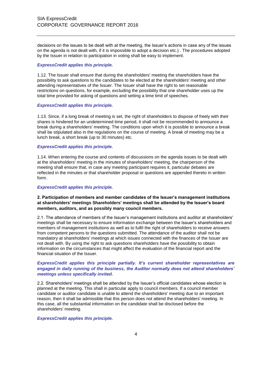decisions on the issues to be dealt with at the meeting, the Issuer's actions in case any of the issues on the agenda is not dealt with, if it is impossible to adopt a decision etc.) . The procedures adopted by the Issuer in relation to participation in voting shall be easy to implement.

#### *ExpressCredit applies this principle.*

1.12. The Issuer shall ensure that during the shareholders' meeting the shareholders have the possibility to ask questions to the candidates to be elected at the shareholders' meeting and other attending representatives of the Issuer. The Issuer shall have the right to set reasonable restrictions on questions, for example, excluding the possibility that one shareholder uses up the total time provided for asking of questions and setting a time limit of speeches.

#### *ExpressCredit applies this principle.*

1.13. Since, if a long break of meeting is set, the right of shareholders to dispose of freely with their shares is hindered for an undetermined time period, it shall not be recommended to announce a break during a shareholders' meeting. The conditions upon which it is possible to announce a break shall be stipulated also in the regulations on the course of meeting. A break of meeting may be a lunch break, a short break (up to 30 minutes) etc.

# *ExpressCredit applies this principle.*

1.14. When entering the course and contents of discussions on the agenda issues to be dealt with at the shareholders' meeting in the minutes of shareholders' meeting, the chairperson of the meeting shall ensure that, in case any meeting participant requires it, particular debates are reflected in the minutes or that shareholder proposal or questions are appended thereto in written form.

#### *ExpressCredit applies this principle.*

# **2. Participation of members and member candidates of the Issuer's management institutions at shareholders' meetings Shareholders' meetings shall be attended by the Issuer's board members, auditors, and as possibly many council members.**

2.1. The attendance of members of the Issuer's management institutions and auditor at shareholders' meetings shall be necessary to ensure information exchange between the Issuer's shareholders and members of management institutions as well as to fulfil the right of shareholders to receive answers from competent persons to the questions submitted. The attendance of the auditor shall not be mandatory at shareholders' meetings at which issues connected with the finances of the Issuer are not dealt with. By using the right to ask questions shareholders have the possibility to obtain information on the circumstances that might affect the evaluation of the financial report and the financial situation of the Issuer.

# *ExpressCredit applies this principle partially. It's current shareholder representatives are engaged in daily running of the business, the Auditor normally does not attend shareholders' meetings unless specifically invited.*

2.2. Shareholders' meetings shall be attended by the Issuer's official candidates whose election is planned at the meeting. This shall in particular apply to council members. If a council member candidate or auditor candidate is unable to attend the shareholders' meeting due to an important reason, then it shall be admissible that this person does not attend the shareholders' meeting. In this case, all the substantial information on the candidate shall be disclosed before the shareholders' meeting.

### *ExpressCredit applies this principle.*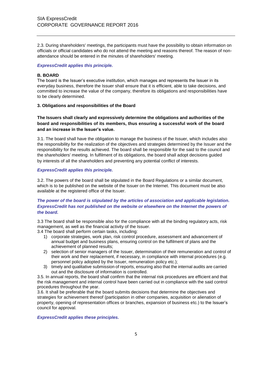2.3. During shareholders' meetings, the participants must have the possibility to obtain information on officials or official candidates who do not attend the meeting and reasons thereof. The reason of nonattendance should be entered in the minutes of shareholders' meeting.

# *ExpressCredit applies this principle.*

# **B. BOARD**

The board is the Issuer's executive institution, which manages and represents the Issuer in its everyday business, therefore the Issuer shall ensure that it is efficient, able to take decisions, and committed to increase the value of the company, therefore its obligations and responsibilities have to be clearly determined.

# **3. Obligations and responsibilities of the Board**

# **The Issuers shall clearly and expressively determine the obligations and authorities of the board and responsibilities of its members, thus ensuring a successful work of the board and an increase in the Issuer's value.**

3.1. The board shall have the obligation to manage the business of the Issuer, which includes also the responsibility for the realization of the objectives and strategies determined by the Issuer and the responsibility for the results achieved. The board shall be responsible for the said to the council and the shareholders' meeting. In fulfilment of its obligations, the board shall adopt decisions guided by interests of all the shareholders and preventing any potential conflict of interests.

# *ExpressCredit applies this principle.*

3.2. The powers of the board shall be stipulated in the Board Regulations or a similar document, which is to be published on the website of the Issuer on the Internet. This document must be also available at the registered office of the Issuer.

# *The power of the board is stipulated by the articles of association and applicable legislation. ExpressCredit has not published on the website or elsewhere on the Internet the powers of the board.*

3.3 The board shall be responsible also for the compliance with all the binding regulatory acts, risk management, as well as the financial activity of the Issuer.

3.4 The board shall perform certain tasks, including:

- 1) corporate strategies, work plan, risk control procedure, assessment and advancement of annual budget and business plans, ensuring control on the fulfilment of plans and the achievement of planned results;
- 2) selection of senior managers of the Issuer, determination of their remuneration and control of their work and their replacement, if necessary, in compliance with internal procedures (e.g. personnel policy adopted by the Issuer, remuneration policy etc.);
- 3) timely and qualitative submission of reports, ensuring also that the internal audits are carried out and the disclosure of information is controlled.

3.5. In annual reports, the board shall confirm that the internal risk procedures are efficient and that the risk management and internal control have been carried out in compliance with the said control procedures throughout the year.

3.6. It shall be preferable that the board submits decisions that determine the objectives and strategies for achievement thereof (participation in other companies, acquisition or alienation of property, opening of representation offices or branches, expansion of business etc.) to the Issuer's council for approval.

*ExpressCredit applies these principles.*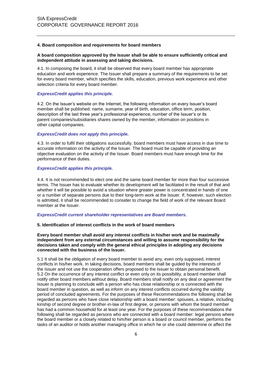#### **4. Board composition and requirements for board members**

# **A board composition approved by the Issuer shall be able to ensure sufficiently critical and independent attitude in assessing and taking decisions.**

4.1. In composing the board, it shall be observed that every board member has appropriate education and work experience. The Issuer shall prepare a summary of the requirements to be set for every board member, which specifies the skills, education, previous work experience and other selection criteria for every board member.

# *ExpressCredit applies this principle.*

4.2. On the Issuer's website on the Internet, the following information on every Issuer's board member shall be published: name, surname, year of birth, education, office term, position, description of the last three year's professional experience, number of the Issuer's or its parent companies/subsidiaries shares owned by the member, information on positions in other capital companies.

# *ExpressCredit does not apply this principle.*

4.3. In order to fulfil their obligations successfully, board members must have access in due time to accurate information on the activity of the Issuer. The board must be capable of providing an objective evaluation on the activity of the Issuer. Board members must have enough time for the performance of their duties.

# *ExpressCredit applies this principle.*

4.4. It is not recommended to elect one and the same board member for more than four successive terms. The Issuer has to evaluate whether its development will be facilitated in the result of that and whether it will be possible to avoid a situation where greater power is concentrated in hands of one or a number of separate persons due to their long-term work at the Issuer. If, however, such election is admitted, it shall be recommended to consider to change the field of work of the relevant Board member at the Issuer.

#### *ExpressCredit current shareholder representatives are Board members.*

#### **5. Identification of interest conflicts in the work of board members**

**Every board member shall avoid any interest conflicts in his/her work and be maximally independent from any external circumstances and willing to assume responsibility for the decisions taken and comply with the general ethical principles in adopting any decisions connected with the business of the Issuer.**

5.1 It shall be the obligation of every board member to avoid any, even only supposed, interest conflicts in his/her work. In taking decisions, board members shall be guided by the interests of the Issuer and not use the cooperation offers proposed to the Issuer to obtain personal benefit. 5.2 On the occurrence of any interest conflict or even only on its possibility, a board member shall notify other board members without delay. Board members shall notify on any deal or agreement the Issuer is planning to conclude with a person who has close relationship or is connected with the board member in question, as well as inform on any interest conflicts occurred during the validity period of concluded agreements. For the purposes of these Recommendations the following shall be regarded as persons who have close relationship with a board member: spouses, a relative, including kinship of second degree or brother-in-law of first degree, or persons with whom the board member has had a common household for at least one year. For the purposes of these recommendations the following shall be regarded as persons who are connected with a board member: legal persons where the board member or a closely related to him/her person is a board or council member, performs the tasks of an auditor or holds another managing office in which he or she could determine or affect the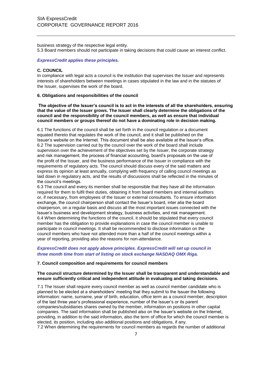business strategy of the respective legal entity. 5.3 Board members should not participate in taking decisions that could cause an interest conflict.

# *ExpressCredit applies these principles.*

### **C. COUNCIL**

In compliance with legal acts a council is the institution that supervises the Issuer and represents interests of shareholders between meetings in cases stipulated in the law and in the statutes of the Issuer, supervises the work of the board.

#### **6. Obligations and responsibilities of the council**

**The objective of the Issuer's council is to act in the interests of all the shareholders, ensuring that the value of the Issuer grows. The Issuer shall clearly determine the obligations of the council and the responsibility of the council members, as well as ensure that individual council members or groups thereof do not have a dominating role in decision making.**

6.1 The functions of the council shall be set forth in the council regulation or a document equated thereto that regulates the work of the council, and it shall be published on the Issuer's website on the Internet. This document shall be also available at the Issuer's office. 6.2 The supervision carried out by the council over the work of the board shall include supervision over the achievement of the objectives set by the Issuer, the corporate strategy and risk management, the process of financial accounting, board's proposals on the use of the profit of the Issuer, and the business performance of the Issuer in compliance with the requirements of regulatory acts. The council should discuss every of the said matters and express its opinion at least annually, complying with frequency of calling council meetings as laid down in regulatory acts, and the results of discussions shall be reflected in the minutes of the council's meetings.

6.3 The council and every its member shall be responsible that they have all the information required for them to fulfil their duties, obtaining it from board members and internal auditors or, if necessary, from employees of the Issuer or external consultants. To ensure information exchange, the council chairperson shall contact the Issuer's board, inter alia the board chairperson, on a regular basis and discuss all the most important issues connected with the Issuer's business and development strategy, business activities, and risk management. 6.4 When determining the functions of the council, it should be stipulated that every council member has the obligation to provide explanations in case the council member is unable to participate in council meetings. It shall be recommended to disclose information on the council members who have not attended more than a half of the council meetings within a year of reporting, providing also the reasons for non-attendance.

# *ExpressCredit does not apply above principles. ExpressCredit will set up council in three month time from start of listing on stock exchange NASDAQ OMX Riga.*

#### **7. Council composition and requirements for council members**

#### **The council structure determined by the Issuer shall be transparent and understandable and ensure sufficiently critical and independent attitude in evaluating and taking decisions.**

7.1 The Issuer shall require every council member as well as council member candidate who is planned to be elected at a shareholders' meeting that they submit to the Issuer the following information: name, surname, year of birth, education, office term as a council member, description of the last three year's professional experience, number of the Issuer's or its parent companies/subsidiaries shares owned by the member, information on positions in other capital companies. The said information shall be published also on the Issuer's website on the Internet, providing, in addition to the said information, also the term of office for which the council member is elected, its position, including also additional positions and obligations, if any. 7.2 When determining the requirements for council members as regards the number of additional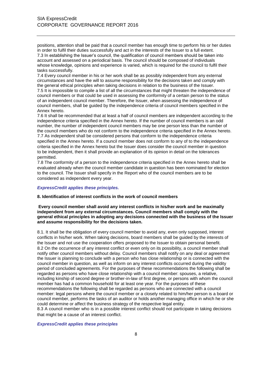positions, attention shall be paid that a council member has enough time to perform his or her duties in order to fulfil their duties successfully and act in the interests of the Issuer to a full extent. 7.3 In establishing the Issuer's council, the qualification of council members should be taken into account and assessed on a periodical basis. The council should be composed of individuals whose knowledge, opinions and experience is varied, which is required for the council to fulfil their tasks successfully.

7.4 Every council member in his or her work shall be as possibly independent from any external circumstances and have the will to assume responsibility for the decisions taken and comply with the general ethical principles when taking decisions in relation to the business of the Issuer. 7.5 It is impossible to compile a list of all the circumstances that might threaten the independence of council members or that could be used in assessing the conformity of a certain person to the status of an independent council member. Therefore, the Issuer, when assessing the independence of council members, shall be guided by the independence criteria of council members specified in the Annex hereto.

7.6 It shall be recommended that at least a half of council members are independent according to the independence criteria specified in the Annex hereto. If the number of council members is an odd number, the number of independent council members may be one person less than the number of the council members who do not conform to the independence criteria specified in the Annex hereto. 7.7 As independent shall be considered persons that conform to the independence criteria specified in the Annex hereto. If a council member does not conform to any of to the independence criteria specified in the Annex hereto but the Issuer does consider the council member in question to be independent, then it shall provide an explanation of its opinion in detail on the tolerances permitted.

7.8 The conformity of a person to the independence criteria specified in the Annex hereto shall be evaluated already when the council member candidate in question has been nominated for election to the council. The Issuer shall specify in the Report who of the council members are to be considered as independent every year.

# *ExpressCredit applies these principles.*

#### **8. Identification of interest conflicts in the work of council members**

**Every council member shall avoid any interest conflicts in his/her work and be maximally independent from any external circumstances. Council members shall comply with the general ethical principles in adopting any decisions connected with the business of the Issuer and assume responsibility for the decisions taken.**

8.1. It shall be the obligation of every council member to avoid any, even only supposed, interest conflicts in his/her work. When taking decisions, board members shall be guided by the interests of the Issuer and not use the cooperation offers proposed to the Issuer to obtain personal benefit. 8.2 On the occurrence of any interest conflict or even only on its possibility, a council member shall notify other council members without delay. Council members shall notify on any deal or agreement the Issuer is planning to conclude with a person who has close relationship or is connected with the council member in question, as well as inform on any interest conflicts occurred during the validity period of concluded agreements. For the purposes of these recommendations the following shall be regarded as persons who have close relationship with a council member: spouses, a relative, including kinship of second degree or brother-in-law of first degree, or persons with whom the council member has had a common household for at least one year. For the purposes of these recommendations the following shall be regarded as persons who are connected with a council member: legal persons where the council member or a closely related to him/her person is a board or council member, performs the tasks of an auditor or holds another managing office in which he or she could determine or affect the business strategy of the respective legal entity.

8.3 A council member who is in a possible interest conflict should not participate in taking decisions that might be a cause of an interest conflict.

# *ExpressCredit applies these principles*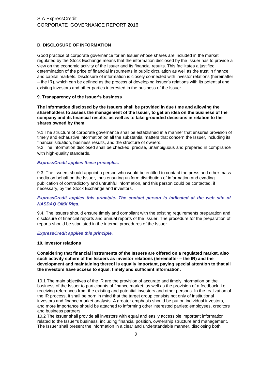# **D. DISCLOSURE OF INFORMATION**

Good practice of corporate governance for an Issuer whose shares are included in the market regulated by the Stock Exchange means that the information disclosed by the Issuer has to provide a view on the economic activity of the Issuer and its financial results. This facilitates a justified determination of the price of financial instruments in public circulation as well as the trust in finance and capital markets. Disclosure of information is closely connected with investor relations (hereinafter – the IR), which can be defined as the process of developing Issuer's relations with its potential and existing investors and other parties interested in the business of the Issuer.

# **9. Transparency of the Issuer's business**

**The information disclosed by the Issuers shall be provided in due time and allowing the shareholders to assess the management of the Issuer, to get an idea on the business of the company and its financial results, as well as to take grounded decisions in relation to the shares owned by them.**

9.1 The structure of corporate governance shall be established in a manner that ensures provision of timely and exhaustive information on all the substantial matters that concern the Issuer, including its financial situation, business results, and the structure of owners.

9.2 The information disclosed shall be checked, precise, unambiguous and prepared in compliance with high-quality standards.

# *ExpressCredit applies these principles.*

9.3. The Issuers should appoint a person who would be entitled to contact the press and other mass media on behalf on the Issuer, thus ensuring uniform distribution of information and evading publication of contradictory and untruthful information, and this person could be contacted, if necessary, by the Stock Exchange and investors.

# *ExpressCredit applies this principle. The contact person is indicated at the web site of NASDAQ OMX Riga.*

9.4. The Issuers should ensure timely and compliant with the existing requirements preparation and disclosure of financial reports and annual reports of the Issuer. The procedure for the preparation of reports should be stipulated in the internal procedures of the Issuer.

# *ExpressCredit applies this principle.*

#### **10. Investor relations**

**Considering that financial instruments of the Issuers are offered on a regulated market, also such activity sphere of the Issuers as investor relations (hereinafter – the IR) and the development and maintaining thereof is equally important, paying special attention to that all the investors have access to equal, timely and sufficient information.**

10.1 The main objectives of the IR are the provision of accurate and timely information on the business of the Issuer to participants of finance market, as well as the provision of a feedback, i.e. receiving references from the existing and potential investors and other persons. In the realization of the IR process, it shall be born in mind that the target group consists not only of institutional investors and finance market analysts. A greater emphasis should be put on individual investors, and more importance should be attached to informing other interested parties: employees, creditors and business partners.

10.2 The Issuer shall provide all investors with equal and easily accessible important information related to the Issuer's business, including financial position, ownership structure and management. The Issuer shall present the information in a clear and understandable manner, disclosing both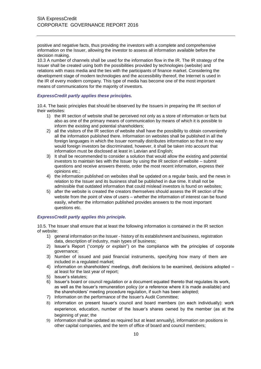positive and negative facts, thus providing the investors with a complete and comprehensive information on the Issuer, allowing the investor to assess all information available before the decision making.

10.3 A number of channels shall be used for the information flow in the IR. The IR strategy of the Issuer shall be created using both the possibilities provided by technologies (website) and relations with mass media and the ties with the participants of finance market. Considering the development stage of modern technologies and the accessibility thereof, the Internet is used in the IR of every modern company. This type of media has become one of the most important means of communications for the majority of investors.

#### *ExpressCredit partly applies these principles.*

10.4. The basic principles that should be observed by the Issuers in preparing the IR section of their websites:

- 1) the IR section of website shall be perceived not only as a store of information or facts but also as one of the primary means of communication by means of which it is possible to inform the existing and potential shareholders;
- 2) all the visitors of the IR section of website shall have the possibility to obtain conveniently all the information published there. Information on websites shall be published in all the foreign languages in which the Issuer normally distributes information so that in no way would foreign investors be discriminated, however, it shall be taken into account that information must be disclosed at least in Latvian and English;
- 3) It shall be recommended to consider a solution that would allow the existing and potential investors to maintain ties with the Issuer by using the IR section of website – submit questions and receive answers thereto, order the most recent information, express their opinions etc.;
- 4) the information published on websites shall be updated on a regular basis, and the news in relation to the Issuer and its business shall be published in due time. It shall not be admissible that outdated information that could mislead investors is found on websites;
- 5) after the website is created the creators themselves should assess the IR section of the website from the point of view of users – whether the information of interest can be found easily, whether the information published provides answers to the most important questions etc.

# *ExpressCredit partly applies this principle.*

10.5. The Issuer shall ensure that at least the following information is contained in the IR section of website:

- 1) general information on the Issuer history of its establishment and business, registration data, description of industry, main types of business;
- 2) Issuer's Report ("*comply or explain*") on the compliance with the principles of corporate governance;
- 3) Number of issued and paid financial instruments, specifying how many of them are included in a regulated market;
- 4) information on shareholders' meetings, draft decisions to be examined, decisions adopted at least for the last year of report;
- 5) Issuer's statutes;
- 6) Issuer's board or council regulation or a document equated thereto that regulates its work, as well as the Issuer's remuneration policy (or a reference where it is made available) and the shareholders' meeting procedure regulation, if such has been adopted;
- 7) Information on the performance of the Issuer's Audit Committee;
- 8) information on present Issuer's council and board members (on each individually): work experience, education, number of the Issuer's shares owned by the member (as at the beginning of year; the
- 9) information shall be updated as required but at least annually), information on positions in other capital companies, and the term of office of board and council members;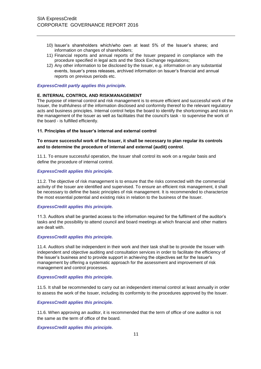- 10) Issuer's shareholders which/who own at least 5% of the Issuer's shares; and information on changes of shareholders;
- 11) Financial reports and annual reports of the Issuer prepared in compliance with the procedure specified in legal acts and the Stock Exchange regulations;
- 12) Any other information to be disclosed by the Issuer, e.g. information on any substantial events, Issuer's press releases, archived information on Issuer's financial and annual reports on previous periods etc.

*ExpressCredit partly applies this principle.*

#### **E. INTERNAL CONTROL AND RISKMANAGEMENT**

The purpose of internal control and risk management is to ensure efficient and successful work of the Issuer, the truthfulness of the information disclosed and conformity thereof to the relevant regulatory acts and business principles. Internal control helps the board to identify the shortcomings and risks in the management of the Issuer as well as facilitates that the council's task - to supervise the work of the board - is fulfilled efficiently.

#### **11. Principles of the Issuer's internal and external control**

# **To ensure successful work of the Issuer, it shall be necessary to plan regular its controls and to determine the procedure of internal and external (audit) control**.

11.1. To ensure successful operation, the Issuer shall control its work on a regular basis and define the procedure of internal control.

#### *ExpressCredit applies this principle.*

11.2. The objective of risk management is to ensure that the risks connected with the commercial activity of the Issuer are identified and supervised. To ensure an efficient risk management, it shall be necessary to define the basic principles of risk management. It is recommended to characterize the most essential potential and existing risks in relation to the business of the Issuer.

#### *ExpressCredit applies this principle.*

11.3. Auditors shall be granted access to the information required for the fulfilment of the auditor's tasks and the possibility to attend council and board meetings at which financial and other matters are dealt with.

# *ExpressCredit applies this principle.*

11.4. Auditors shall be independent in their work and their task shall be to provide the Issuer with independent and objective auditing and consultation services in order to facilitate the efficiency of the Issuer's business and to provide support in achieving the objectives set for the Issuer's management by offering a systematic approach for the assessment and improvement of risk management and control processes.

#### *ExpressCredit applies this principle.*

11.5. It shall be recommended to carry out an independent internal control at least annually in order to assess the work of the Issuer, including its conformity to the procedures approved by the Issuer.

#### *ExpressCredit applies this principle.*

11.6. When approving an auditor, it is recommended that the term of office of one auditor is not the same as the term of office of the board.

*ExpressCredit applies this principle.*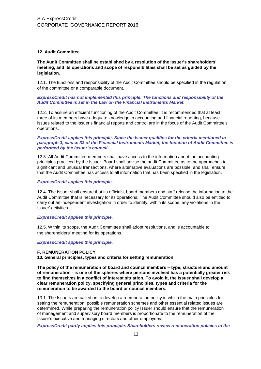#### **12. Audit Committee**

**The Audit Committee shall be established by a resolution of the Issuer's shareholders' meeting, and its operations and scope of responsibilities shall be set as guided by the legislation.**

12.1. The functions and responsibility of the Audit Committee should be specified in the regulation of the committee or a comparable document.

# *ExpressCredit has not implemented this principle. The functions and responsibility of the Audit Committee is set in the Law on the Financial instruments Market.*

12.2. To assure an efficient functioning of the Audit Committee, it is recommended that at least three of its members have adequate knowledge in accounting and financial reporting, because issues related to the Issuer's financial reports and control are in the focus of the Audit Committee's operations.

### *ExpressCredit applies this principle. Since the Issuer qualifies for the criteria mentioned in paragraph 3, clause 33 of the Financial Instruments Market, the function of Audit Committee is performed by the Issuer's council.*

12.3. All Audit Committee members shall have access to the information about the accounting principles practiced by the Issuer. Board shall advise the audit Committee as to the approaches to significant and unusual transactions, where alternative evaluations are possible, and shall ensure that the Audit Committee has access to all information that has been specified in the legislation.

# *ExpressCredit applies this principle.*

12.4. The Issuer shall ensure that its officials, board members and staff release the information to the Audit Committee that is necessary for its operations. The Audit Committee should also be entitled to carry out an independent investigation in order to identify, within its scope, any violations in the Issuer' activities.

#### *ExpressCredit applies this principle.*

12.5. Within its scope, the Audit Committee shall adopt resolutions, and is accountable to the shareholders' meeting for its operations.

#### *ExpressCredit applies this principle.*

#### **F. REMUNERATION POLICY**

**13. General principles, types and criteria for setting remuneration**

**The policy of the remuneration of board and council members – type, structure and amount of remuneration - is one of the spheres where persons involved has a potentially greater risk to find themselves in a conflict of interest situation. To avoid it, the Issuer shall develop a clear remuneration policy, specifying general principles, types and criteria for the remuneration to be awarded to the board or council members.**

13.1. The Issuers are called on to develop a remuneration policy in which the main principles for setting the remuneration, possible remuneration schemes and other essential related issues are determined. While preparing the remuneration policy Issuer should ensure that the remuneration of management and supervisory board members is proportionate to the remuneration of the Issuer's executive and managing directors and other employees.

*ExpressCredit partly applies this principle. Shareholders review remuneration policies in the*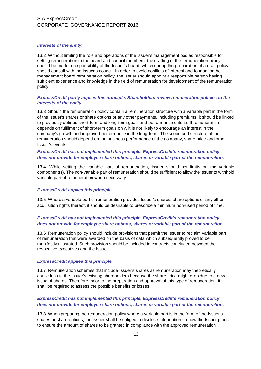#### *interests of the entity.*

13.2. Without limiting the role and operations of the Issuer's management bodies responsible for setting remuneration to the board and council members, the drafting of the remuneration policy should be made a responsibility of the Issuer's board, which during the preparation of a draft policy should consult with the Issuer's council. In order to avoid conflicts of interest and to monitor the management board remuneration policy, the Issuer should appoint a responsible person having sufficient experience and knowledge in the field of remuneration for development of the remuneration policy.

### *ExpressCredit partly applies this principle. Shareholders review remuneration policies in the interests of the entity.*

13.3. Should the remuneration policy contain a remuneration structure with a variable part in the form of the Issuer's shares or share options or any other payments, including premiums, it should be linked to previously defined short-term and long-term goals and performance criteria. If remuneration depends on fulfilment of short-term goals only, it is not likely to encourage an interest in the company's growth and improved performance in the long-term. The scope and structure of the remuneration should depend on the business performance of the company, share price and other Issuer's events.

# *ExpressCredit has not implemented this principle. ExpressCredit's remuneration policy does not provide for employee share options, shares or variable part of the remuneration.*

13.4. While setting the variable part of remuneration, Issuer should set limits on the variable component(s). The non-variable part of remuneration should be sufficient to allow the Issuer to withhold variable part of remuneration when necessary.

# *ExpressCredit applies this principle.*

13.5. Where a variable part of remuneration provides Issuer's shares, share options or any other acquisition rights thereof, it should be desirable to prescribe a minimum non-used period of time.

# *ExpressCredit has not implemented this principle. ExpressCredit's remuneration policy does not provide for employee share options, shares or variable part of the remuneration.*

13.6. Remuneration policy should include provisions that permit the Issuer to reclaim variable part of remuneration that were awarded on the basis of data which subsequently proved to be manifestly misstated. Such provision should be included in contracts concluded between the respective executives and the Issuer.

#### *ExpressCredit applies this principle.*

13.7. Remuneration schemes that include Issuer's shares as remuneration may theoretically cause loss to the Issuer's existing shareholders because the share price might drop due to a new issue of shares. Therefore, prior to the preparation and approval of this type of remuneration, it shall be required to assess the possible benefits or losses.

# *ExpressCredit has not implemented this principle. ExpressCredit's remuneration policy does not provide for employee share options, shares or variable part of the remuneration.*

13.8. When preparing the remuneration policy where a variable part is in the form of the Issuer's shares or share options, the Issuer shall be obliged to disclose information on how the Issuer plans to ensure the amount of shares to be granted in compliance with the approved remuneration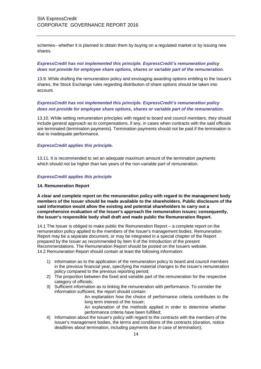schemes– whether it is planned to obtain them by buying on a regulated market or by issuing new shares.

# *ExpressCredit has not implemented this principle. ExpressCredit's remuneration policy does not provide for employee share options, shares or variable part of the remuneration.*

13.9. While drafting the remuneration policy and envisaging awarding options entitling to the Issuer's shares, the Stock Exchange rules regarding distribution of share options should be taken into account.

# *ExpressCredit has not implemented this principle. ExpressCredit's remuneration policy does not provide for employee share options, shares or variable part of the remuneration.*

13.10. While setting remuneration principles with regard to board and council members, they should include general approach as to compensations, if any, in cases when contracts with the said officials are terminated (termination payments). Termination payments should not be paid if the termination is due to inadequate performance.

# *ExpressCredit applies this principle.*

13.11. It is recommended to set an adequate maximum amount of the termination payments which should not be higher than two years of the non-variable part of remuneration.

# *ExpressCredit applies this principle*

#### **14. Remuneration Report**

**A clear and complete report on the remuneration policy with regard to the management body members of the Issuer should be made available to the shareholders. Public disclosure of the said information would allow the existing and potential shareholders to carry out a comprehensive evaluation of the Issuer's approach the remuneration issues; consequently, the Issuer's responsible body shall draft and made public the Remuneration Report.**

14.1 The Issuer is obliged to make public the Remuneration Report – a complete report on the remuneration policy applied to the members of the Issuer's management bodies. Remuneration Report may be a separate document, or may be integrated in a special chapter of the Report prepared by the Issuer as recommended by Item 9 of the Introduction of the present Recommendations. The Remuneration Report should be posted on the Issuers website. 14.2 Remuneration Report should contain at least the following information:

- 1) Information as to the application of the remuneration policy to board and council members in the previous financial year, specifying the material changes to the Issuer's remuneration policy compared to the previous reporting period;
- 2) The proportion between the fixed and variable part of the remuneration for the respective category of officials;
- 3) Sufficient information as to linking the remuneration with performance. To consider the information sufficient, the report should contain:
	- An explanation how the choice of performance criteria contributes to the long term interest of the Issuer;
	- An explanation of the methods applied in order to determine whether performance criteria have been fulfilled;
- 4) Information about the Issuer's policy with regard to the contracts with the members of the Issuer's management bodies, the terms and conditions of the contracts (duration, notice deadlines about termination, including payments due in case of termination);